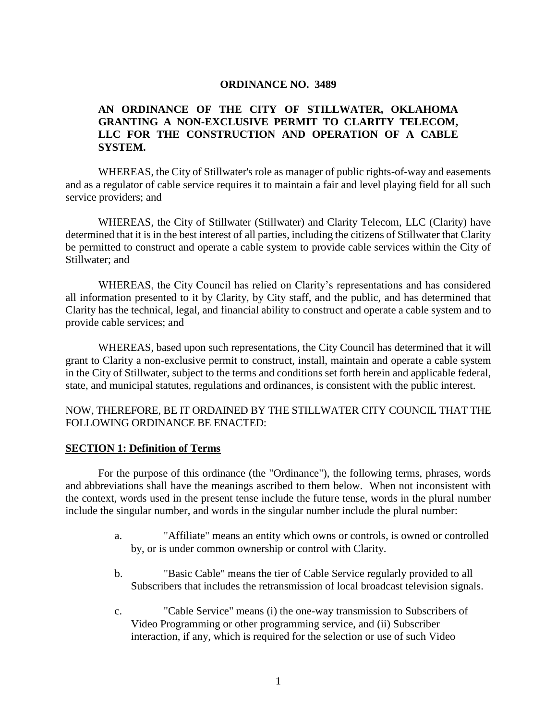#### **ORDINANCE NO. 3489**

#### **AN ORDINANCE OF THE CITY OF STILLWATER, OKLAHOMA GRANTING A NON-EXCLUSIVE PERMIT TO CLARITY TELECOM, LLC FOR THE CONSTRUCTION AND OPERATION OF A CABLE SYSTEM.**

WHEREAS, the City of Stillwater's role as manager of public rights-of-way and easements and as a regulator of cable service requires it to maintain a fair and level playing field for all such service providers; and

WHEREAS, the City of Stillwater (Stillwater) and Clarity Telecom, LLC (Clarity) have determined that it is in the best interest of all parties, including the citizens of Stillwater that Clarity be permitted to construct and operate a cable system to provide cable services within the City of Stillwater; and

WHEREAS, the City Council has relied on Clarity's representations and has considered all information presented to it by Clarity, by City staff, and the public, and has determined that Clarity has the technical, legal, and financial ability to construct and operate a cable system and to provide cable services; and

WHEREAS, based upon such representations, the City Council has determined that it will grant to Clarity a non-exclusive permit to construct, install, maintain and operate a cable system in the City of Stillwater, subject to the terms and conditions set forth herein and applicable federal, state, and municipal statutes, regulations and ordinances, is consistent with the public interest.

#### NOW, THEREFORE, BE IT ORDAINED BY THE STILLWATER CITY COUNCIL THAT THE FOLLOWING ORDINANCE BE ENACTED:

#### **SECTION 1: Definition of Terms**

For the purpose of this ordinance (the "Ordinance"), the following terms, phrases, words and abbreviations shall have the meanings ascribed to them below. When not inconsistent with the context, words used in the present tense include the future tense, words in the plural number include the singular number, and words in the singular number include the plural number:

- a. "Affiliate" means an entity which owns or controls, is owned or controlled by, or is under common ownership or control with Clarity.
- b. "Basic Cable" means the tier of Cable Service regularly provided to all Subscribers that includes the retransmission of local broadcast television signals.
- c. "Cable Service" means (i) the one-way transmission to Subscribers of Video Programming or other programming service, and (ii) Subscriber interaction, if any, which is required for the selection or use of such Video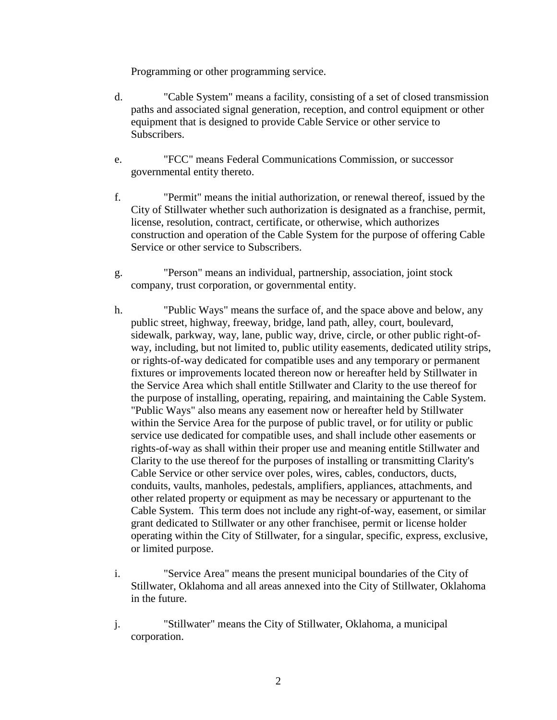Programming or other programming service.

- d. "Cable System" means a facility, consisting of a set of closed transmission paths and associated signal generation, reception, and control equipment or other equipment that is designed to provide Cable Service or other service to Subscribers.
- e. "FCC" means Federal Communications Commission, or successor governmental entity thereto.
- f. "Permit" means the initial authorization, or renewal thereof, issued by the City of Stillwater whether such authorization is designated as a franchise, permit, license, resolution, contract, certificate, or otherwise, which authorizes construction and operation of the Cable System for the purpose of offering Cable Service or other service to Subscribers.
- g. "Person" means an individual, partnership, association, joint stock company, trust corporation, or governmental entity.
- h. "Public Ways" means the surface of, and the space above and below, any public street, highway, freeway, bridge, land path, alley, court, boulevard, sidewalk, parkway, way, lane, public way, drive, circle, or other public right-ofway, including, but not limited to, public utility easements, dedicated utility strips, or rights-of-way dedicated for compatible uses and any temporary or permanent fixtures or improvements located thereon now or hereafter held by Stillwater in the Service Area which shall entitle Stillwater and Clarity to the use thereof for the purpose of installing, operating, repairing, and maintaining the Cable System. "Public Ways" also means any easement now or hereafter held by Stillwater within the Service Area for the purpose of public travel, or for utility or public service use dedicated for compatible uses, and shall include other easements or rights-of-way as shall within their proper use and meaning entitle Stillwater and Clarity to the use thereof for the purposes of installing or transmitting Clarity's Cable Service or other service over poles, wires, cables, conductors, ducts, conduits, vaults, manholes, pedestals, amplifiers, appliances, attachments, and other related property or equipment as may be necessary or appurtenant to the Cable System. This term does not include any right-of-way, easement, or similar grant dedicated to Stillwater or any other franchisee, permit or license holder operating within the City of Stillwater, for a singular, specific, express, exclusive, or limited purpose.
- i. "Service Area" means the present municipal boundaries of the City of Stillwater, Oklahoma and all areas annexed into the City of Stillwater, Oklahoma in the future.
- j. "Stillwater" means the City of Stillwater, Oklahoma, a municipal corporation.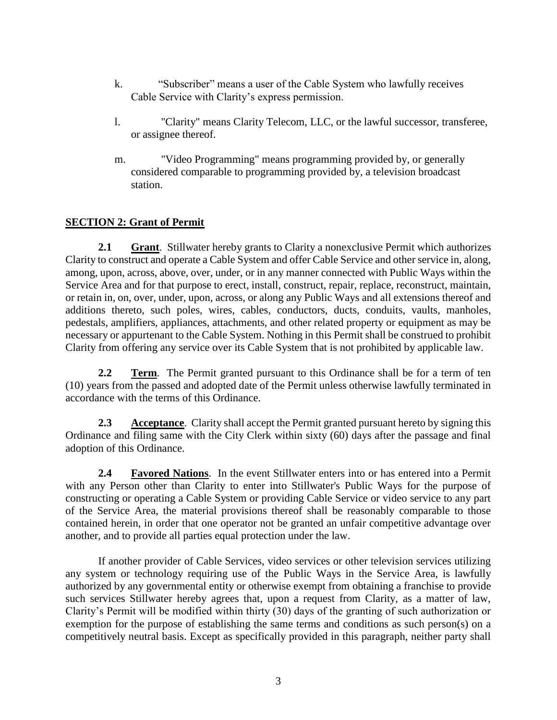- k. "Subscriber" means a user of the Cable System who lawfully receives Cable Service with Clarity's express permission.
- l. "Clarity" means Clarity Telecom, LLC, or the lawful successor, transferee, or assignee thereof.
- m. "Video Programming" means programming provided by, or generally considered comparable to programming provided by, a television broadcast station.

## **SECTION 2: Grant of Permit**

**2.1 Grant**. Stillwater hereby grants to Clarity a nonexclusive Permit which authorizes Clarity to construct and operate a Cable System and offer Cable Service and other service in, along, among, upon, across, above, over, under, or in any manner connected with Public Ways within the Service Area and for that purpose to erect, install, construct, repair, replace, reconstruct, maintain, or retain in, on, over, under, upon, across, or along any Public Ways and all extensions thereof and additions thereto, such poles, wires, cables, conductors, ducts, conduits, vaults, manholes, pedestals, amplifiers, appliances, attachments, and other related property or equipment as may be necessary or appurtenant to the Cable System. Nothing in this Permit shall be construed to prohibit Clarity from offering any service over its Cable System that is not prohibited by applicable law.

**2.2 Term.** The Permit granted pursuant to this Ordinance shall be for a term of ten (10) years from the passed and adopted date of the Permit unless otherwise lawfully terminated in accordance with the terms of this Ordinance.

**2.3 Acceptance**. Clarity shall accept the Permit granted pursuant hereto by signing this Ordinance and filing same with the City Clerk within sixty (60) days after the passage and final adoption of this Ordinance.

**2.4 Favored Nations**. In the event Stillwater enters into or has entered into a Permit with any Person other than Clarity to enter into Stillwater's Public Ways for the purpose of constructing or operating a Cable System or providing Cable Service or video service to any part of the Service Area, the material provisions thereof shall be reasonably comparable to those contained herein, in order that one operator not be granted an unfair competitive advantage over another, and to provide all parties equal protection under the law.

If another provider of Cable Services, video services or other television services utilizing any system or technology requiring use of the Public Ways in the Service Area, is lawfully authorized by any governmental entity or otherwise exempt from obtaining a franchise to provide such services Stillwater hereby agrees that, upon a request from Clarity, as a matter of law, Clarity's Permit will be modified within thirty (30) days of the granting of such authorization or exemption for the purpose of establishing the same terms and conditions as such person(s) on a competitively neutral basis. Except as specifically provided in this paragraph, neither party shall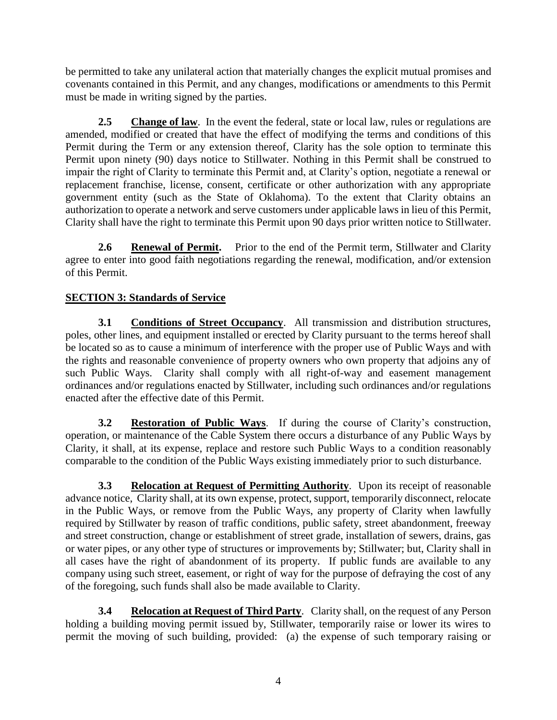be permitted to take any unilateral action that materially changes the explicit mutual promises and covenants contained in this Permit, and any changes, modifications or amendments to this Permit must be made in writing signed by the parties.

**2.5 Change of law**. In the event the federal, state or local law, rules or regulations are amended, modified or created that have the effect of modifying the terms and conditions of this Permit during the Term or any extension thereof, Clarity has the sole option to terminate this Permit upon ninety (90) days notice to Stillwater. Nothing in this Permit shall be construed to impair the right of Clarity to terminate this Permit and, at Clarity's option, negotiate a renewal or replacement franchise, license, consent, certificate or other authorization with any appropriate government entity (such as the State of Oklahoma). To the extent that Clarity obtains an authorization to operate a network and serve customers under applicable laws in lieu of this Permit, Clarity shall have the right to terminate this Permit upon 90 days prior written notice to Stillwater.

**2.6 Renewal of Permit.** Prior to the end of the Permit term, Stillwater and Clarity agree to enter into good faith negotiations regarding the renewal, modification, and/or extension of this Permit.

# **SECTION 3: Standards of Service**

**3.1 Conditions of Street Occupancy**. All transmission and distribution structures, poles, other lines, and equipment installed or erected by Clarity pursuant to the terms hereof shall be located so as to cause a minimum of interference with the proper use of Public Ways and with the rights and reasonable convenience of property owners who own property that adjoins any of such Public Ways. Clarity shall comply with all right-of-way and easement management ordinances and/or regulations enacted by Stillwater, including such ordinances and/or regulations enacted after the effective date of this Permit.

**3.2 Restoration of Public Ways**. If during the course of Clarity's construction, operation, or maintenance of the Cable System there occurs a disturbance of any Public Ways by Clarity, it shall, at its expense, replace and restore such Public Ways to a condition reasonably comparable to the condition of the Public Ways existing immediately prior to such disturbance.

**3.3 Relocation at Request of Permitting Authority**. Upon its receipt of reasonable advance notice, Clarity shall, at its own expense, protect, support, temporarily disconnect, relocate in the Public Ways, or remove from the Public Ways, any property of Clarity when lawfully required by Stillwater by reason of traffic conditions, public safety, street abandonment, freeway and street construction, change or establishment of street grade, installation of sewers, drains, gas or water pipes, or any other type of structures or improvements by; Stillwater; but, Clarity shall in all cases have the right of abandonment of its property. If public funds are available to any company using such street, easement, or right of way for the purpose of defraying the cost of any of the foregoing, such funds shall also be made available to Clarity.

**3.4 Relocation at Request of Third Party**. Clarity shall, on the request of any Person holding a building moving permit issued by, Stillwater, temporarily raise or lower its wires to permit the moving of such building, provided: (a) the expense of such temporary raising or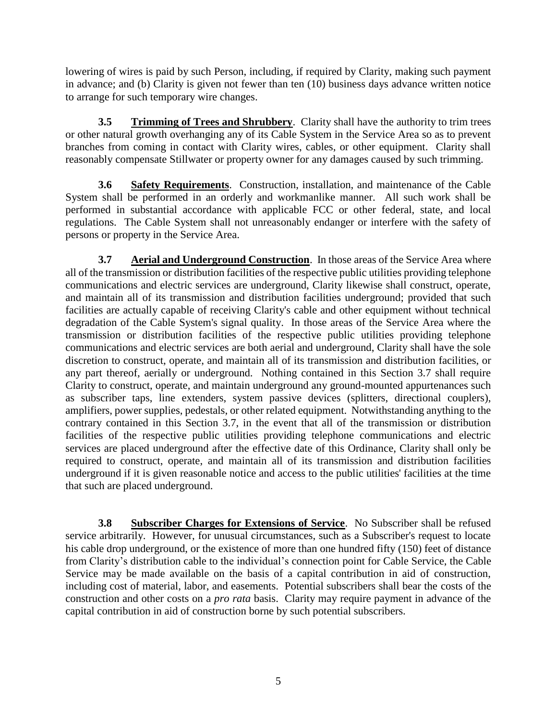lowering of wires is paid by such Person, including, if required by Clarity, making such payment in advance; and (b) Clarity is given not fewer than ten (10) business days advance written notice to arrange for such temporary wire changes.

**3.5 Trimming of Trees and Shrubbery**. Clarity shall have the authority to trim trees or other natural growth overhanging any of its Cable System in the Service Area so as to prevent branches from coming in contact with Clarity wires, cables, or other equipment. Clarity shall reasonably compensate Stillwater or property owner for any damages caused by such trimming.

**3.6 Safety Requirements**. Construction, installation, and maintenance of the Cable System shall be performed in an orderly and workmanlike manner. All such work shall be performed in substantial accordance with applicable FCC or other federal, state, and local regulations. The Cable System shall not unreasonably endanger or interfere with the safety of persons or property in the Service Area.

**3.7 Aerial and Underground Construction**. In those areas of the Service Area where all of the transmission or distribution facilities of the respective public utilities providing telephone communications and electric services are underground, Clarity likewise shall construct, operate, and maintain all of its transmission and distribution facilities underground; provided that such facilities are actually capable of receiving Clarity's cable and other equipment without technical degradation of the Cable System's signal quality. In those areas of the Service Area where the transmission or distribution facilities of the respective public utilities providing telephone communications and electric services are both aerial and underground, Clarity shall have the sole discretion to construct, operate, and maintain all of its transmission and distribution facilities, or any part thereof, aerially or underground. Nothing contained in this Section 3.7 shall require Clarity to construct, operate, and maintain underground any ground-mounted appurtenances such as subscriber taps, line extenders, system passive devices (splitters, directional couplers), amplifiers, power supplies, pedestals, or other related equipment. Notwithstanding anything to the contrary contained in this Section 3.7, in the event that all of the transmission or distribution facilities of the respective public utilities providing telephone communications and electric services are placed underground after the effective date of this Ordinance, Clarity shall only be required to construct, operate, and maintain all of its transmission and distribution facilities underground if it is given reasonable notice and access to the public utilities' facilities at the time that such are placed underground.

**3.8 Subscriber Charges for Extensions of Service**. No Subscriber shall be refused service arbitrarily. However, for unusual circumstances, such as a Subscriber's request to locate his cable drop underground, or the existence of more than one hundred fifty (150) feet of distance from Clarity's distribution cable to the individual's connection point for Cable Service, the Cable Service may be made available on the basis of a capital contribution in aid of construction, including cost of material, labor, and easements. Potential subscribers shall bear the costs of the construction and other costs on a *pro rata* basis. Clarity may require payment in advance of the capital contribution in aid of construction borne by such potential subscribers.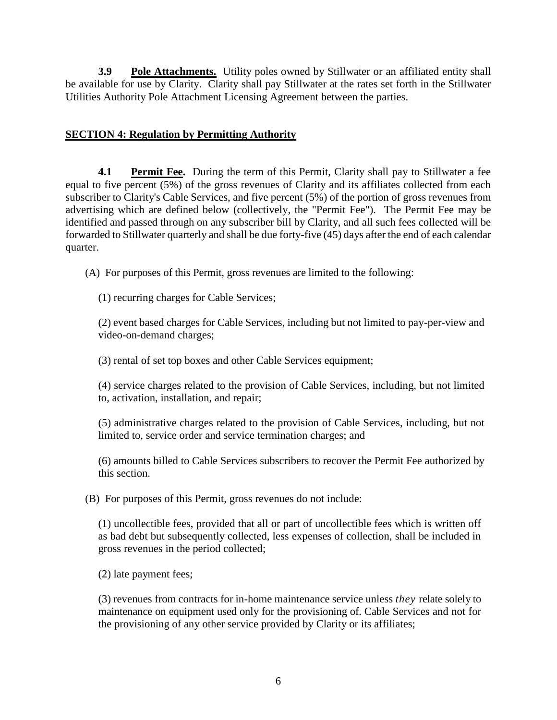**3.9 Pole Attachments.** Utility poles owned by Stillwater or an affiliated entity shall be available for use by Clarity. Clarity shall pay Stillwater at the rates set forth in the Stillwater Utilities Authority Pole Attachment Licensing Agreement between the parties.

## **SECTION 4: Regulation by Permitting Authority**

**4.1 Permit Fee.** During the term of this Permit, Clarity shall pay to Stillwater a fee equal to five percent (5%) of the gross revenues of Clarity and its affiliates collected from each subscriber to Clarity's Cable Services, and five percent (5%) of the portion of gross revenues from advertising which are defined below (collectively, the "Permit Fee"). The Permit Fee may be identified and passed through on any subscriber bill by Clarity, and all such fees collected will be forwarded to Stillwater quarterly and shall be due forty-five (45) days after the end of each calendar quarter.

(A) For purposes of this Permit, gross revenues are limited to the following:

(1) recurring charges for Cable Services;

(2) event based charges for Cable Services, including but not limited to pay-per-view and video-on-demand charges;

(3) rental of set top boxes and other Cable Services equipment;

(4) service charges related to the provision of Cable Services, including, but not limited to, activation, installation, and repair;

(5) administrative charges related to the provision of Cable Services, including, but not limited to, service order and service termination charges; and

(6) amounts billed to Cable Services subscribers to recover the Permit Fee authorized by this section.

(B) For purposes of this Permit, gross revenues do not include:

(1) uncollectible fees, provided that all or part of uncollectible fees which is written off as bad debt but subsequently collected, less expenses of collection, shall be included in gross revenues in the period collected;

(2) late payment fees;

(3) revenues from contracts for in-home maintenance service unless *they* relate solely to maintenance on equipment used only for the provisioning of. Cable Services and not for the provisioning of any other service provided by Clarity or its affiliates;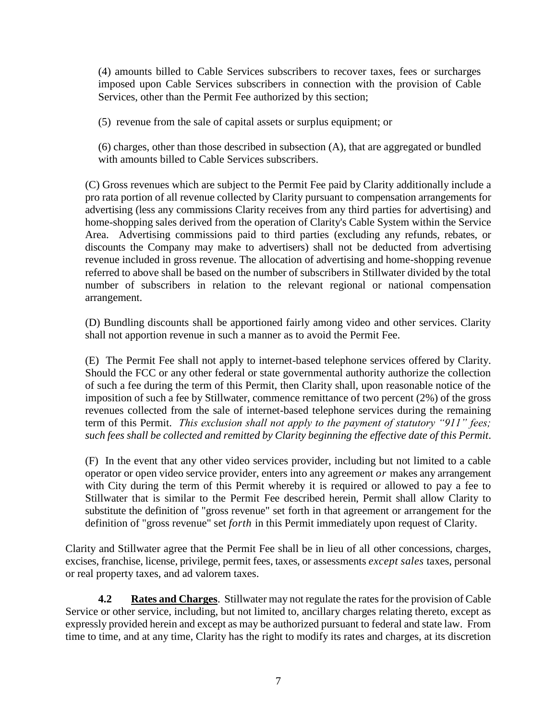(4) amounts billed to Cable Services subscribers to recover taxes, fees or surcharges imposed upon Cable Services subscribers in connection with the provision of Cable Services, other than the Permit Fee authorized by this section;

(5) revenue from the sale of capital assets or surplus equipment; or

(6) charges, other than those described in subsection (A), that are aggregated or bundled with amounts billed to Cable Services subscribers.

(C) Gross revenues which are subject to the Permit Fee paid by Clarity additionally include a pro rata portion of all revenue collected by Clarity pursuant to compensation arrangements for advertising (less any commissions Clarity receives from any third parties for advertising) and home-shopping sales derived from the operation of Clarity's Cable System within the Service Area. Advertising commissions paid to third parties (excluding any refunds, rebates, or discounts the Company may make to advertisers) shall not be deducted from advertising revenue included in gross revenue. The allocation of advertising and home-shopping revenue referred to above shall be based on the number of subscribers in Stillwater divided by the total number of subscribers in relation to the relevant regional or national compensation arrangement.

(D) Bundling discounts shall be apportioned fairly among video and other services. Clarity shall not apportion revenue in such a manner as to avoid the Permit Fee.

(E) The Permit Fee shall not apply to internet-based telephone services offered by Clarity. Should the FCC or any other federal or state governmental authority authorize the collection of such a fee during the term of this Permit, then Clarity shall, upon reasonable notice of the imposition of such a fee by Stillwater, commence remittance of two percent (2%) of the gross revenues collected from the sale of internet-based telephone services during the remaining term of this Permit. *This exclusion shall not apply to the payment of statutory "911" fees; such fees shall be collected and remitted by Clarity beginning the effective date of this Permit*.

(F) In the event that any other video services provider, including but not limited to a cable operator or open video service provider, enters into any agreement *or* makes any arrangement with City during the term of this Permit whereby it is required or allowed to pay a fee to Stillwater that is similar to the Permit Fee described herein, Permit shall allow Clarity to substitute the definition of "gross revenue" set forth in that agreement or arrangement for the definition of "gross revenue" set *forth* in this Permit immediately upon request of Clarity.

Clarity and Stillwater agree that the Permit Fee shall be in lieu of all other concessions, charges, excises, franchise, license, privilege, permit fees, taxes, or assessments *except sales* taxes, personal or real property taxes, and ad valorem taxes.

**4.2 Rates and Charges**. Stillwater may not regulate the rates for the provision of Cable Service or other service, including, but not limited to, ancillary charges relating thereto, except as expressly provided herein and except as may be authorized pursuant to federal and state law. From time to time, and at any time, Clarity has the right to modify its rates and charges, at its discretion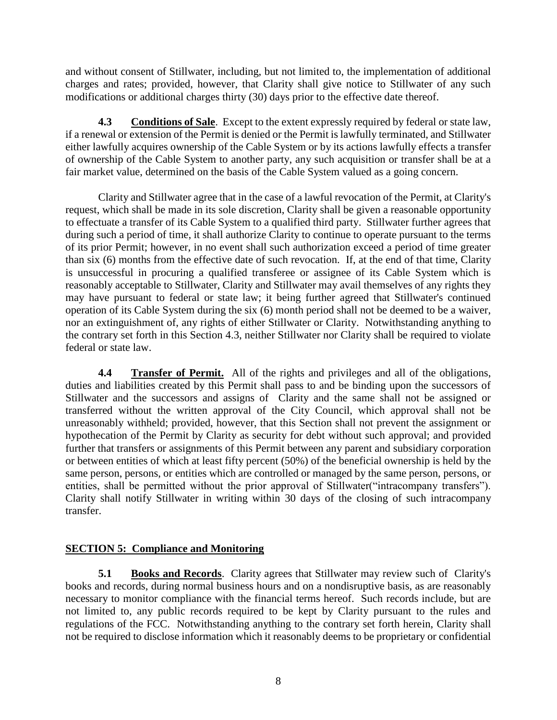and without consent of Stillwater, including, but not limited to, the implementation of additional charges and rates; provided, however, that Clarity shall give notice to Stillwater of any such modifications or additional charges thirty (30) days prior to the effective date thereof.

**4.3 Conditions of Sale**. Except to the extent expressly required by federal or state law, if a renewal or extension of the Permit is denied or the Permit is lawfully terminated, and Stillwater either lawfully acquires ownership of the Cable System or by its actions lawfully effects a transfer of ownership of the Cable System to another party, any such acquisition or transfer shall be at a fair market value, determined on the basis of the Cable System valued as a going concern.

Clarity and Stillwater agree that in the case of a lawful revocation of the Permit, at Clarity's request, which shall be made in its sole discretion, Clarity shall be given a reasonable opportunity to effectuate a transfer of its Cable System to a qualified third party. Stillwater further agrees that during such a period of time, it shall authorize Clarity to continue to operate pursuant to the terms of its prior Permit; however, in no event shall such authorization exceed a period of time greater than six (6) months from the effective date of such revocation. If, at the end of that time, Clarity is unsuccessful in procuring a qualified transferee or assignee of its Cable System which is reasonably acceptable to Stillwater, Clarity and Stillwater may avail themselves of any rights they may have pursuant to federal or state law; it being further agreed that Stillwater's continued operation of its Cable System during the six (6) month period shall not be deemed to be a waiver, nor an extinguishment of, any rights of either Stillwater or Clarity. Notwithstanding anything to the contrary set forth in this Section 4.3, neither Stillwater nor Clarity shall be required to violate federal or state law.

**4.4 Transfer of Permit.** All of the rights and privileges and all of the obligations, duties and liabilities created by this Permit shall pass to and be binding upon the successors of Stillwater and the successors and assigns of Clarity and the same shall not be assigned or transferred without the written approval of the City Council, which approval shall not be unreasonably withheld; provided, however, that this Section shall not prevent the assignment or hypothecation of the Permit by Clarity as security for debt without such approval; and provided further that transfers or assignments of this Permit between any parent and subsidiary corporation or between entities of which at least fifty percent (50%) of the beneficial ownership is held by the same person, persons, or entities which are controlled or managed by the same person, persons, or entities, shall be permitted without the prior approval of Stillwater("intracompany transfers"). Clarity shall notify Stillwater in writing within 30 days of the closing of such intracompany transfer.

## **SECTION 5: Compliance and Monitoring**

**5.1 Books and Records**. Clarity agrees that Stillwater may review such of Clarity's books and records, during normal business hours and on a nondisruptive basis, as are reasonably necessary to monitor compliance with the financial terms hereof. Such records include, but are not limited to, any public records required to be kept by Clarity pursuant to the rules and regulations of the FCC. Notwithstanding anything to the contrary set forth herein, Clarity shall not be required to disclose information which it reasonably deems to be proprietary or confidential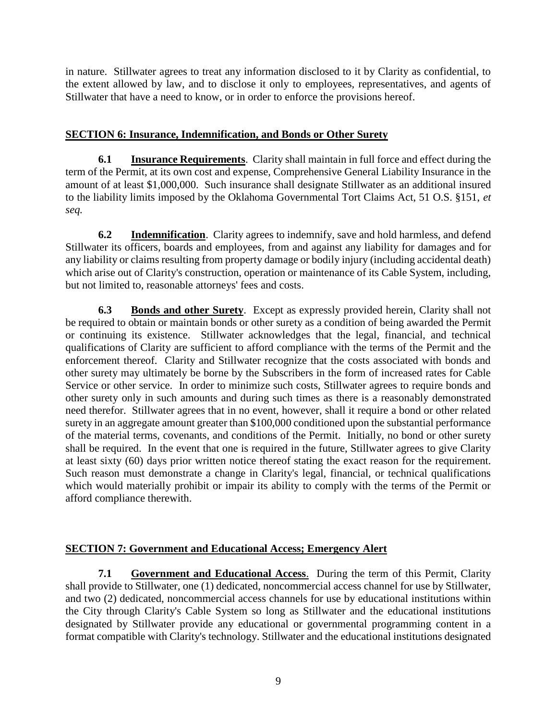in nature. Stillwater agrees to treat any information disclosed to it by Clarity as confidential, to the extent allowed by law, and to disclose it only to employees, representatives, and agents of Stillwater that have a need to know, or in order to enforce the provisions hereof.

## **SECTION 6: Insurance, Indemnification, and Bonds or Other Surety**

**6.1 Insurance Requirements**. Clarity shall maintain in full force and effect during the term of the Permit, at its own cost and expense, Comprehensive General Liability Insurance in the amount of at least \$1,000,000. Such insurance shall designate Stillwater as an additional insured to the liability limits imposed by the Oklahoma Governmental Tort Claims Act, 51 O.S. §151, *et seq.*

**6.2 Indemnification**. Clarity agrees to indemnify, save and hold harmless, and defend Stillwater its officers, boards and employees, from and against any liability for damages and for any liability or claims resulting from property damage or bodily injury (including accidental death) which arise out of Clarity's construction, operation or maintenance of its Cable System, including, but not limited to, reasonable attorneys' fees and costs.

**6.3 Bonds and other Surety**. Except as expressly provided herein, Clarity shall not be required to obtain or maintain bonds or other surety as a condition of being awarded the Permit or continuing its existence. Stillwater acknowledges that the legal, financial, and technical qualifications of Clarity are sufficient to afford compliance with the terms of the Permit and the enforcement thereof. Clarity and Stillwater recognize that the costs associated with bonds and other surety may ultimately be borne by the Subscribers in the form of increased rates for Cable Service or other service. In order to minimize such costs, Stillwater agrees to require bonds and other surety only in such amounts and during such times as there is a reasonably demonstrated need therefor. Stillwater agrees that in no event, however, shall it require a bond or other related surety in an aggregate amount greater than \$100,000 conditioned upon the substantial performance of the material terms, covenants, and conditions of the Permit. Initially, no bond or other surety shall be required. In the event that one is required in the future, Stillwater agrees to give Clarity at least sixty (60) days prior written notice thereof stating the exact reason for the requirement. Such reason must demonstrate a change in Clarity's legal, financial, or technical qualifications which would materially prohibit or impair its ability to comply with the terms of the Permit or afford compliance therewith.

### **SECTION 7: Government and Educational Access; Emergency Alert**

**7.1 Government and Educational Access.** During the term of this Permit, Clarity shall provide to Stillwater, one (1) dedicated, noncommercial access channel for use by Stillwater, and two (2) dedicated, noncommercial access channels for use by educational institutions within the City through Clarity's Cable System so long as Stillwater and the educational institutions designated by Stillwater provide any educational or governmental programming content in a format compatible with Clarity's technology. Stillwater and the educational institutions designated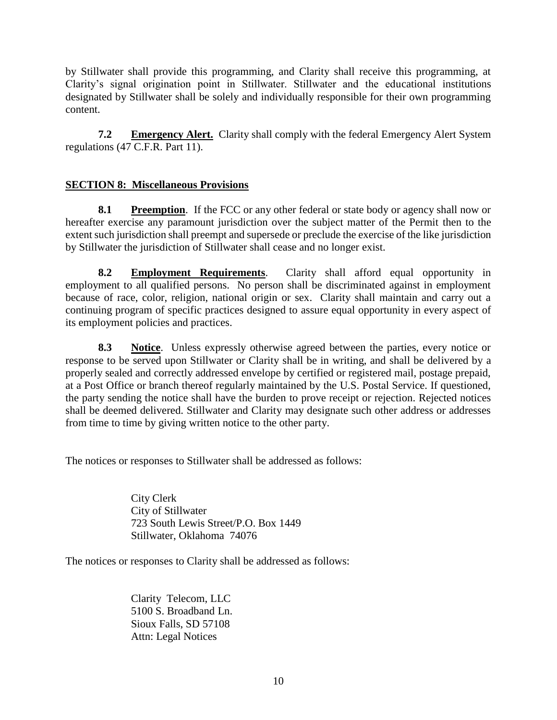by Stillwater shall provide this programming, and Clarity shall receive this programming, at Clarity's signal origination point in Stillwater. Stillwater and the educational institutions designated by Stillwater shall be solely and individually responsible for their own programming content.

**7.2 Emergency Alert.** Clarity shall comply with the federal Emergency Alert System regulations (47 C.F.R. Part 11).

## **SECTION 8: Miscellaneous Provisions**

**8.1 Preemption**. If the FCC or any other federal or state body or agency shall now or hereafter exercise any paramount jurisdiction over the subject matter of the Permit then to the extent such jurisdiction shall preempt and supersede or preclude the exercise of the like jurisdiction by Stillwater the jurisdiction of Stillwater shall cease and no longer exist.

**8.2 Employment Requirements**. Clarity shall afford equal opportunity in employment to all qualified persons. No person shall be discriminated against in employment because of race, color, religion, national origin or sex. Clarity shall maintain and carry out a continuing program of specific practices designed to assure equal opportunity in every aspect of its employment policies and practices.

**8.3 Notice**. Unless expressly otherwise agreed between the parties, every notice or response to be served upon Stillwater or Clarity shall be in writing, and shall be delivered by a properly sealed and correctly addressed envelope by certified or registered mail, postage prepaid, at a Post Office or branch thereof regularly maintained by the U.S. Postal Service. If questioned, the party sending the notice shall have the burden to prove receipt or rejection. Rejected notices shall be deemed delivered. Stillwater and Clarity may designate such other address or addresses from time to time by giving written notice to the other party.

The notices or responses to Stillwater shall be addressed as follows:

City Clerk City of Stillwater 723 South Lewis Street/P.O. Box 1449 Stillwater, Oklahoma 74076

The notices or responses to Clarity shall be addressed as follows:

Clarity Telecom, LLC 5100 S. Broadband Ln. Sioux Falls, SD 57108 Attn: Legal Notices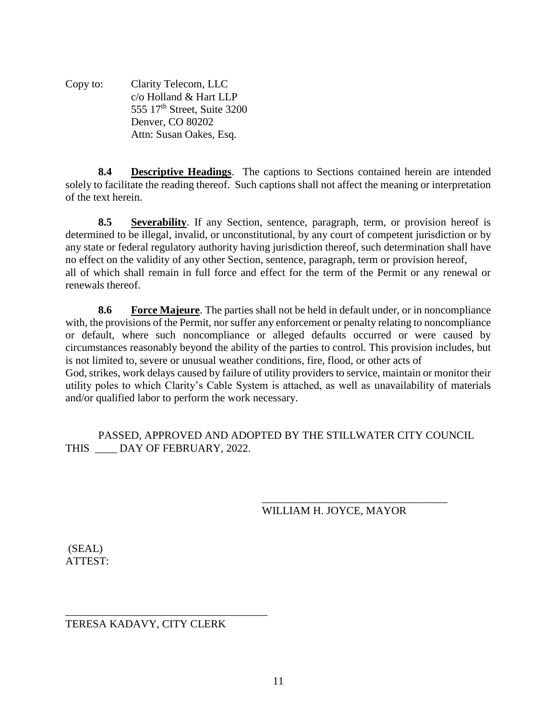Copy to: Clarity Telecom, LLC c/o Holland & Hart LLP 555 17<sup>th</sup> Street, Suite 3200 Denver, CO 80202 Attn: Susan Oakes, Esq.

**8.4 Descriptive Headings**. The captions to Sections contained herein are intended solely to facilitate the reading thereof. Such captions shall not affect the meaning or interpretation of the text herein.

**8.5 Severability**. If any Section, sentence, paragraph, term, or provision hereof is determined to be illegal, invalid, or unconstitutional, by any court of competent jurisdiction or by any state or federal regulatory authority having jurisdiction thereof, such determination shall have no effect on the validity of any other Section, sentence, paragraph, term or provision hereof, all of which shall remain in full force and effect for the term of the Permit or any renewal or renewals thereof.

**8.6 Force Majeure**. The parties shall not be held in default under, or in noncompliance with, the provisions of the Permit, nor suffer any enforcement or penalty relating to noncompliance or default, where such noncompliance or alleged defaults occurred or were caused by circumstances reasonably beyond the ability of the parties to control. This provision includes, but is not limited to, severe or unusual weather conditions, fire, flood, or other acts of God, strikes, work delays caused by failure of utility providers to service, maintain or monitor their utility poles to which Clarity's Cable System is attached, as well as unavailability of materials and/or qualified labor to perform the work necessary.

PASSED, APPROVED AND ADOPTED BY THE STILLWATER CITY COUNCIL THIS DAY OF FEBRUARY, 2022.

> \_\_\_\_\_\_\_\_\_\_\_\_\_\_\_\_\_\_\_\_\_\_\_\_\_\_\_\_\_\_\_\_\_\_ WILLIAM H. JOYCE, MAYOR

(SEAL) ATTEST:

\_\_\_\_\_\_\_\_\_\_\_\_\_\_\_\_\_\_\_\_\_\_\_\_\_\_\_\_\_\_\_\_\_\_\_\_\_ TERESA KADAVY, CITY CLERK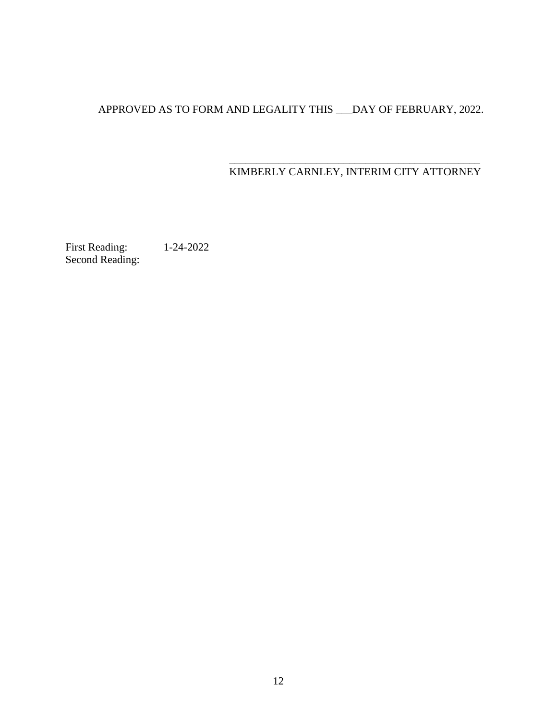# APPROVED AS TO FORM AND LEGALITY THIS \_\_\_DAY OF FEBRUARY, 2022.

#### \_\_\_\_\_\_\_\_\_\_\_\_\_\_\_\_\_\_\_\_\_\_\_\_\_\_\_\_\_\_\_\_\_\_\_\_\_\_\_\_\_\_\_\_\_\_ KIMBERLY CARNLEY, INTERIM CITY ATTORNEY

First Reading: 1-24-2022 Second Reading: